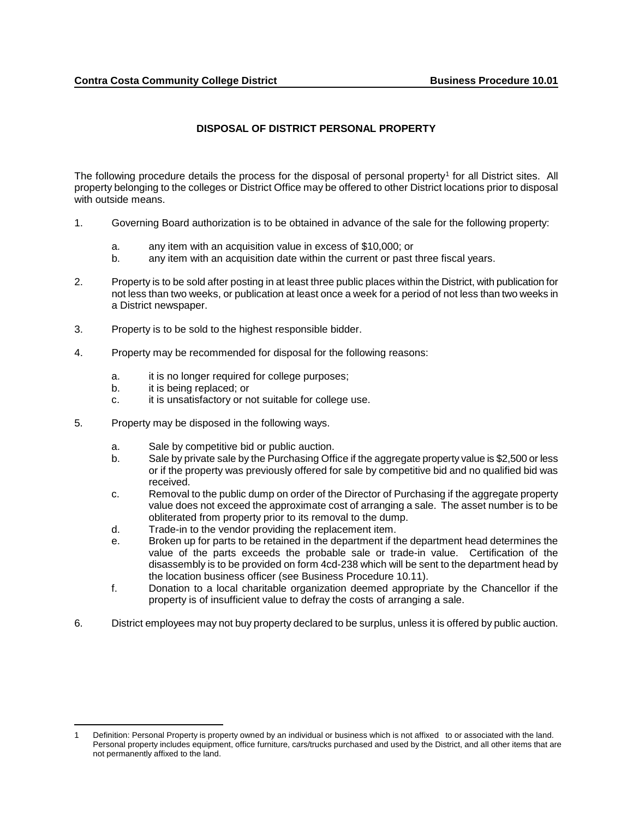## **DISPOSAL OF DISTRICT PERSONAL PROPERTY**

The following procedure details the process for the disposal of personal property<sup>[1](#page-0-0)</sup> for all District sites. All property belonging to the colleges or District Office may be offered to other District locations prior to disposal with outside means.

- 1. Governing Board authorization is to be obtained in advance of the sale for the following property:
	- a. any item with an acquisition value in excess of \$10,000; or
	- b. any item with an acquisition date within the current or past three fiscal years.
- 2. Property is to be sold after posting in at least three public places within the District, with publication for not less than two weeks, or publication at least once a week for a period of not less than two weeks in a District newspaper.
- 3. Property is to be sold to the highest responsible bidder.
- 4. Property may be recommended for disposal for the following reasons:
	- a. it is no longer required for college purposes;
	- b. it is being replaced; or
	- c. it is unsatisfactory or not suitable for college use.
- 5. Property may be disposed in the following ways.
	- a. Sale by competitive bid or public auction.
	- b. Sale by private sale by the Purchasing Office if the aggregate property value is \$2,500 or less or if the property was previously offered for sale by competitive bid and no qualified bid was received.
	- c. Removal to the public dump on order of the Director of Purchasing if the aggregate property value does not exceed the approximate cost of arranging a sale. The asset number is to be obliterated from property prior to its removal to the dump.
	- d. Trade-in to the vendor providing the replacement item.
	- e. Broken up for parts to be retained in the department if the department head determines the value of the parts exceeds the probable sale or trade-in value. Certification of the disassembly is to be provided on form 4cd-238 which will be sent to the department head by the location business officer (see Business Procedure 10.11).
	- f. Donation to a local charitable organization deemed appropriate by the Chancellor if the property is of insufficient value to defray the costs of arranging a sale.
- 6. District employees may not buy property declared to be surplus, unless it is offered by public auction.

<span id="page-0-0"></span> $\overline{\phantom{a}}$ 1 Definition: Personal Property is property owned by an individual or business which is not affixed to or associated with the land. Personal property includes equipment, office furniture, cars/trucks purchased and used by the District, and all other items that are not permanently affixed to the land.